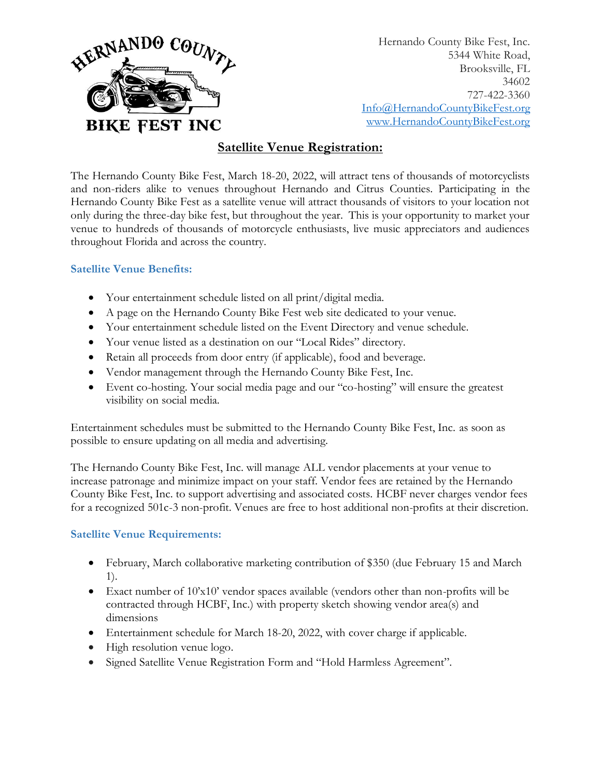

Hernando County Bike Fest, Inc. 5344 White Road, Brooksville, FL 34602 727-422-3360 [Info@HernandoCountyB](mailto:BrooksvilleBikeRally@gmail.com)ikeFest.org [www.HernandoCountyBikeFest.org](http://www.hernandocountybikefest.org/)

# **Satellite Venue Registration:**

The Hernando County Bike Fest, March 18-20, 2022, will attract tens of thousands of motorcyclists and non-riders alike to venues throughout Hernando and Citrus Counties. Participating in the Hernando County Bike Fest as a satellite venue will attract thousands of visitors to your location not only during the three-day bike fest, but throughout the year. This is your opportunity to market your venue to hundreds of thousands of motorcycle enthusiasts, live music appreciators and audiences throughout Florida and across the country.

#### **Satellite Venue Benefits:**

- Your entertainment schedule listed on all print/digital media.
- A page on the Hernando County Bike Fest web site dedicated to your venue.
- Your entertainment schedule listed on the Event Directory and venue schedule.
- Your venue listed as a destination on our "Local Rides" directory.
- Retain all proceeds from door entry (if applicable), food and beverage.
- Vendor management through the Hernando County Bike Fest, Inc.
- Event co-hosting. Your social media page and our "co-hosting" will ensure the greatest visibility on social media.

Entertainment schedules must be submitted to the Hernando County Bike Fest, Inc. as soon as possible to ensure updating on all media and advertising.

The Hernando County Bike Fest, Inc. will manage ALL vendor placements at your venue to increase patronage and minimize impact on your staff. Vendor fees are retained by the Hernando County Bike Fest, Inc. to support advertising and associated costs. HCBF never charges vendor fees for a recognized 501c-3 non-profit. Venues are free to host additional non-profits at their discretion.

## **Satellite Venue Requirements:**

- February, March collaborative marketing contribution of \$350 (due February 15 and March 1).
- Exact number of 10'x10' vendor spaces available (vendors other than non-profits will be contracted through HCBF, Inc.) with property sketch showing vendor area(s) and dimensions
- Entertainment schedule for March 18-20, 2022, with cover charge if applicable.
- High resolution venue logo.
- Signed Satellite Venue Registration Form and "Hold Harmless Agreement".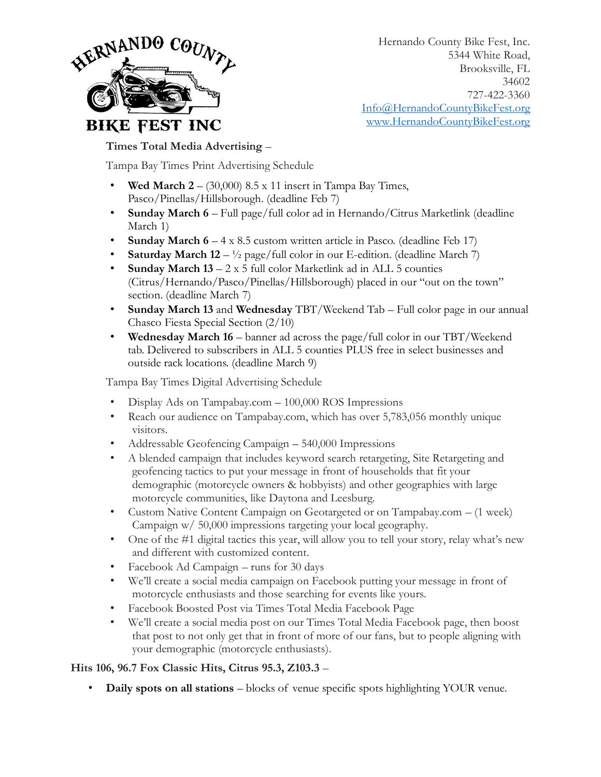

Hernando County Bike Fest, Inc. 5344 White Road, Brooksville, FL 34602 727-422-3360 [Info@HernandoCountyB](mailto:BrooksvilleBikeRally@gmail.com)ikeFest.org [www.HernandoCountyBikeFest.org](http://www.hernandocountybikefest.org/)

## **Times Total Media Advertising** –

Tampa Bay Times Print Advertising Schedule

- **Wed March 2** (30,000) 8.5 x 11 insert in Tampa Bay Times, Pasco/Pinellas/Hillsborough. (deadline Feb 7)
- **Sunday March 6** Full page/full color ad in Hernando/Citrus Marketlink (deadline March 1)
- **Sunday March 6** 4 x 8.5 custom written article in Pasco. (deadline Feb 17)
- **Saturday March 12**  $\frac{1}{2}$  page/full color in our E-edition. (deadline March 7)
- **Sunday March 13** 2 x 5 full color Marketlink ad in ALL 5 counties (Citrus/Hernando/Pasco/Pinellas/Hillsborough) placed in our "out on the town" section. (deadline March 7)
- **Sunday March 13** and **Wednesday** TBT/Weekend Tab Full color page in our annual Chasco Fiesta Special Section (2/10)
- **Wednesday March 16** banner ad across the page/full color in our TBT/Weekend tab. Delivered to subscribers in ALL 5 counties PLUS free in select businesses and outside rack locations. (deadline March 9)

Tampa Bay Times Digital Advertising Schedule

- Display Ads on Tampabay.com 100,000 ROS Impressions
- Reach our audience on Tampabay.com, which has over 5,783,056 monthly unique visitors.
- Addressable Geofencing Campaign 540,000 Impressions
- A blended campaign that includes keyword search retargeting, Site Retargeting and geofencing tactics to put your message in front of households that fit your demographic (motorcycle owners & hobbyists) and other geographies with large motorcycle communities, like Daytona and Leesburg.
- Custom Native Content Campaign on Geotargeted or on Tampabay.com (1 week) Campaign w/ 50,000 impressions targeting your local geography.
- One of the #1 digital tactics this year, will allow you to tell your story, relay what's new and different with customized content.
- Facebook Ad Campaign runs for 30 days
- We'll create a social media campaign on Facebook putting your message in front of motorcycle enthusiasts and those searching for events like yours.
- Facebook Boosted Post via Times Total Media Facebook Page
- We'll create a social media post on our Times Total Media Facebook page, then boost that post to not only get that in front of more of our fans, but to people aligning with your demographic (motorcycle enthusiasts).

## **Hits 106, 96.7 Fox Classic Hits, Citrus 95.3, Z103.3** –

• **Daily spots on all stations** – blocks of venue specific spots highlighting YOUR venue.